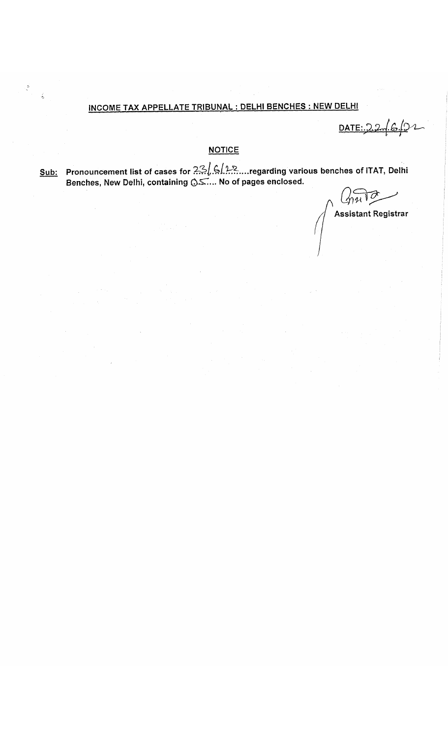## INCOME TAX APPELLATE TRIBUNAL : DELHI BENCHES : NEW DELHI

 $\frac{1}{2}$ 

 $\hat{\zeta}$ 

DATE: 2

## **NOTICE**

egarding various benches of ITAT, Delhi سينينا الجنير الجنير (Sub: Pronouncement list of cases for Benches, New Delhi, containing *CyST....* No of pages enclosed. *Q*

Ō Assistant Registrar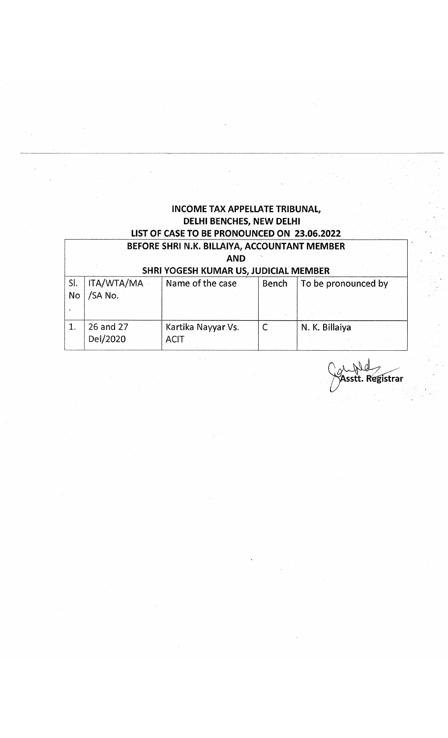|     |                   | <b>INCOME TAX APPELLATE TRIBUNAL,</b>        |              |                     |
|-----|-------------------|----------------------------------------------|--------------|---------------------|
|     |                   | <b>DELHI BENCHES, NEW DELHI</b>              |              |                     |
|     |                   | LIST OF CASE TO BE PRONOUNCED ON 23.06.2022  |              |                     |
|     |                   | BEFORE SHRI N.K. BILLAIYA, ACCOUNTANT MEMBER |              |                     |
|     |                   | <b>AND</b>                                   |              |                     |
|     |                   | SHRI YOGESH KUMAR US, JUDICIAL MEMBER        |              |                     |
| SI. | <b>ITA/WTA/MA</b> | Name of the case                             | <b>Bench</b> | To be pronounced by |
| No  | /SA No.           |                                              |              |                     |
|     |                   |                                              |              |                     |
| 1.  | 26 and 27         | Kartika Nayyar Vs.                           | $\mathsf{C}$ | N. K. Billaiya      |
|     | Del/2020          | <b>ACIT</b>                                  |              |                     |
|     |                   |                                              |              |                     |

 $\hat{\mathcal{E}}$ 

au fold<br>Sasstt. Registrar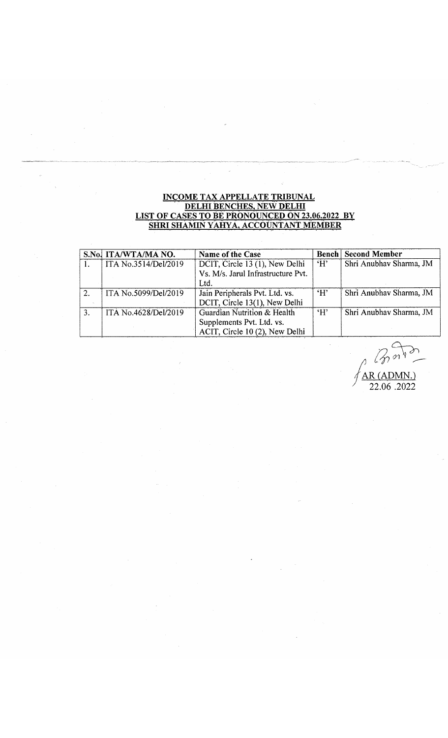# INCOME TAX APPELLATE TRIBUNAL<br>DELHI BENCHES, NEW DELHI<br>LIST OF CASES TO BE PRONOUNCED ON 23.06.2022 BY<br>SHRI SHAMIN YAHYA, ACCOUNTANT MEMBER

 $\omega$ 

|                | S.No. ITA/WTA/MA NO. | Name of the Case                                                                           |     | <b>Bench Second Member</b> |
|----------------|----------------------|--------------------------------------------------------------------------------------------|-----|----------------------------|
|                | ITA No.3514/Del/2019 | DCIT, Circle 13 (1), New Delhi<br>Vs. M/s. Jarul Infrastructure Pvt.<br>Ltd.               | ʻН' | Shri Anubhav Sharma, JM    |
| $\overline{2}$ | ITA No.5099/Del/2019 | Jain Peripherals Pvt. Ltd. vs.<br>DCIT, Circle 13(1), New Delhi                            | H'  | Shri Anubhav Sharma, JM    |
| 3.             | ITA No.4628/Del/2019 | Guardian Nutrition & Health<br>Supplements Pvt. Ltd. vs.<br>ACIT, Circle 10 (2), New Delhi | H   | Shri Anubhav Sharma, JM    |

AR (ADMN.)

22.06.2022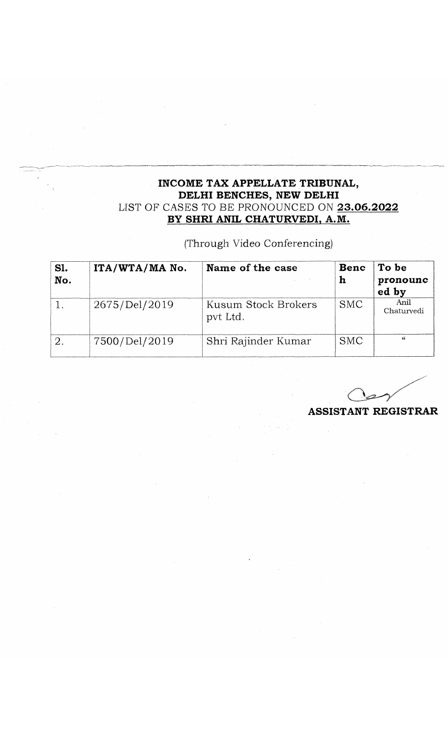### **INCOME TAX APPELLATE TRIBUNAL, DELHI BENCHES, NEW DELHI** LIST OF CASES TO BE PRONOUNCED ON **23.06.2022 BY SHRI ANIL CHATURVEDI, A.M.**

# (Through Video Conferencing)

| S1.<br>No. | ITA/WTA/MA No. | Name of the case                | Benc<br>h  | To be<br>pronounc<br>ed by |
|------------|----------------|---------------------------------|------------|----------------------------|
|            | 2675/Del/2019  | Kusum Stock Brokers<br>pvt Ltd. | <b>SMC</b> | Anil<br>Chaturvedi         |
|            | 7500/Del/2019  | Shri Rajinder Kumar             | <b>SMC</b> | $\epsilon$                 |

**ASSISTANT REGISTRAR**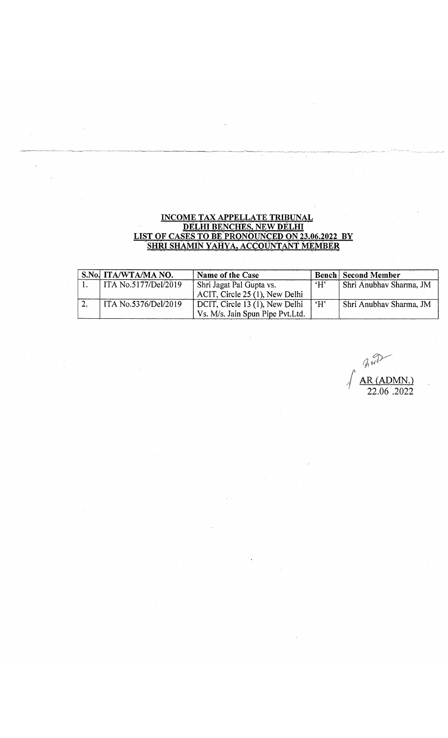#### INCOME TAX APPELLATE TRIBUNAL DELHI BENCHES. NEW DELHI LIST OF CASES TO BE PRONOUNCED ON 23.06.2022 BY SHRI SHAMIN YAHYA. ACCOUNTANT MEMBER

| S.No. ITA/WTA/MA NO.        | Name of the Case                  |    | <b>Bench Second Member</b> |
|-----------------------------|-----------------------------------|----|----------------------------|
| ITA No.5177/Del/2019        | Shri Jagat Pal Gupta vs.          | H' | Shri Anubhav Sharma, JM    |
|                             | ACIT, Circle 25 (1), New Delhi    |    |                            |
| <b>ITA No.5376/Del/2019</b> | DCIT, Circle 13 (1), New Delhi    | H' | Shri Anubhav Sharma, JM    |
|                             | Vs. M/s. Jain Spun Pipe Pvt. Ltd. |    |                            |

 $\lim_{n\to\infty}$ AR (ADMN.) 22.06 .2022